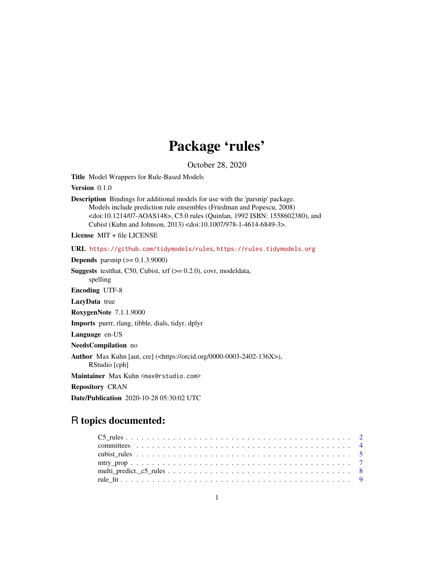## Package 'rules'

October 28, 2020

<span id="page-0-0"></span>Title Model Wrappers for Rule-Based Models

Version 0.1.0

Description Bindings for additional models for use with the 'parsnip' package. Models include prediction rule ensembles (Friedman and Popescu, 2008) <doi:10.1214/07-AOAS148>, C5.0 rules (Quinlan, 1992 ISBN: 1558602380), and Cubist (Kuhn and Johnson, 2013) <doi:10.1007/978-1-4614-6849-3>.

License MIT + file LICENSE

URL <https://github.com/tidymodels/rules>, <https://rules.tidymodels.org>

**Depends** parsnip  $(>= 0.1.3.9000)$ **Suggests** testthat, C50, Cubist,  $xrf (= 0.2.0)$ , covr, modeldata, spelling Encoding UTF-8 LazyData true RoxygenNote 7.1.1.9000 Imports purrr, rlang, tibble, dials, tidyr, dplyr Language en-US NeedsCompilation no Author Max Kuhn [aut, cre] (<https://orcid.org/0000-0003-2402-136X>), RStudio [cph] Maintainer Max Kuhn <max@rstudio.com> Repository CRAN Date/Publication 2020-10-28 05:30:02 UTC

### R topics documented: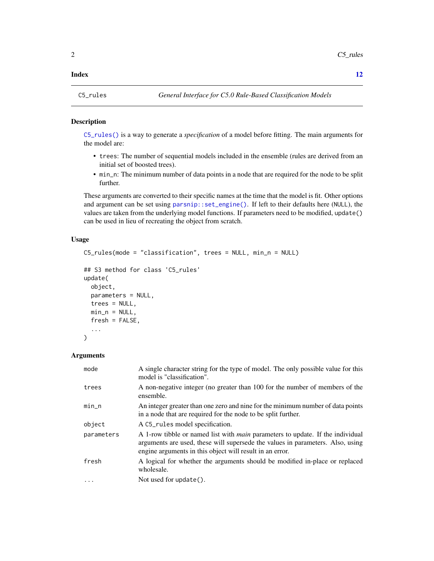#### <span id="page-1-0"></span>**Index** [12](#page-11-0)

<span id="page-1-1"></span>

#### Description

[C5\\_rules\(\)](#page-1-1) is a way to generate a *specification* of a model before fitting. The main arguments for the model are:

- trees: The number of sequential models included in the ensemble (rules are derived from an initial set of boosted trees).
- min\_n: The minimum number of data points in a node that are required for the node to be split further.

These arguments are converted to their specific names at the time that the model is fit. Other options and argument can be set using [parsnip::set\\_engine\(\)](#page-0-0). If left to their defaults here (NULL), the values are taken from the underlying model functions. If parameters need to be modified, update() can be used in lieu of recreating the object from scratch.

#### Usage

```
C5_rules(mode = "classification", trees = NULL, min_n = NULL)
```

```
## S3 method for class 'C5_rules'
update(
 object,
 parameters = NULL,
  trees = NULL,
 min_n = NULL,fresh = FALSE,
  ...
)
```
#### Arguments

| mode       | A single character string for the type of model. The only possible value for this<br>model is "classification".                                                                                                                     |
|------------|-------------------------------------------------------------------------------------------------------------------------------------------------------------------------------------------------------------------------------------|
| trees      | A non-negative integer (no greater than 100 for the number of members of the<br>ensemble.                                                                                                                                           |
| $min_n$    | An integer greater than one zero and nine for the minimum number of data points<br>in a node that are required for the node to be split further.                                                                                    |
| object     | A C5_rules model specification.                                                                                                                                                                                                     |
| parameters | A 1-row tibble or named list with <i>main</i> parameters to update. If the individual<br>arguments are used, these will supersede the values in parameters. Also, using<br>engine arguments in this object will result in an error. |
| fresh      | A logical for whether the arguments should be modified in-place or replaced<br>wholesale.                                                                                                                                           |
| .          | Not used for $update()$ .                                                                                                                                                                                                           |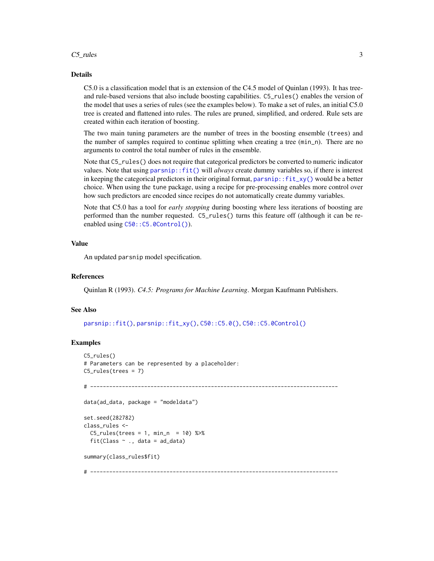#### <span id="page-2-0"></span> $C5$ \_rules  $\overline{\phantom{a}}$  3

#### Details

C5.0 is a classification model that is an extension of the C4.5 model of Quinlan (1993). It has treeand rule-based versions that also include boosting capabilities. C5\_rules() enables the version of the model that uses a series of rules (see the examples below). To make a set of rules, an initial C5.0 tree is created and flattened into rules. The rules are pruned, simplified, and ordered. Rule sets are created within each iteration of boosting.

The two main tuning parameters are the number of trees in the boosting ensemble (trees) and the number of samples required to continue splitting when creating a tree (min\_n). There are no arguments to control the total number of rules in the ensemble.

Note that C5\_rules() does not require that categorical predictors be converted to numeric indicator values. Note that using [parsnip::fit\(\)](#page-0-0) will *always* create dummy variables so, if there is interest in keeping the categorical predictors in their original format, [parsnip::fit\\_xy\(\)](#page-0-0) would be a better choice. When using the tune package, using a recipe for pre-processing enables more control over how such predictors are encoded since recipes do not automatically create dummy variables.

Note that C5.0 has a tool for *early stopping* during boosting where less iterations of boosting are performed than the number requested. C5\_rules() turns this feature off (although it can be reenabled using  $C50$ :: C5.0Control()).

#### Value

An updated parsnip model specification.

#### References

Quinlan R (1993). *C4.5: Programs for Machine Learning*. Morgan Kaufmann Publishers.

#### See Also

[parsnip::fit\(\)](#page-0-0), [parsnip::fit\\_xy\(\)](#page-0-0), [C50::C5.0\(\)](#page-0-0), [C50::C5.0Control\(\)](#page-0-0)

#### Examples

```
C5_rules()
# Parameters can be represented by a placeholder:
C5_rules(trees = 7)
# ------------------------------------------------------------------------------
data(ad_data, package = "modeldata")
set.seed(282782)
class_rules <-
 C5_rules(trees = 1, min_n = 10) %>%
 fit(Class \sim ., data = ad_data)
summary(class_rules$fit)
# ------------------------------------------------------------------------------
```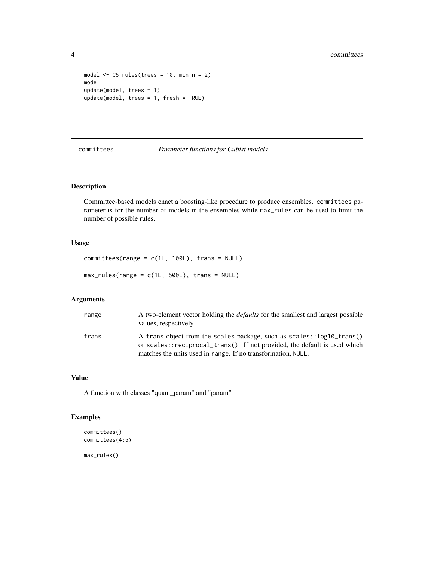```
model \leq C5_rules(trees = 10, min_n = 2)
model
update(model, trees = 1)
update(model, trees = 1, fresh = TRUE)
```
committees *Parameter functions for Cubist models*

#### Description

Committee-based models enact a boosting-like procedure to produce ensembles. committees parameter is for the number of models in the ensembles while max\_rules can be used to limit the number of possible rules.

#### Usage

```
committees(range = c(1L, 100L), trans = NULL)
max_rules(range = c(1L, 500L), trans = NULL)
```
#### Arguments

| range | A two-element vector holding the <i>defaults</i> for the smallest and largest possible<br>values, respectively.                                    |
|-------|----------------------------------------------------------------------------------------------------------------------------------------------------|
| trans | A trans object from the scales package, such as scales::log10_trans()<br>or scales::reciprocal_trans(). If not provided, the default is used which |
|       | matches the units used in range. If no transformation, NULL.                                                                                       |

#### Value

A function with classes "quant\_param" and "param"

#### Examples

```
committees()
committees(4:5)
max_rules()
```
<span id="page-3-0"></span>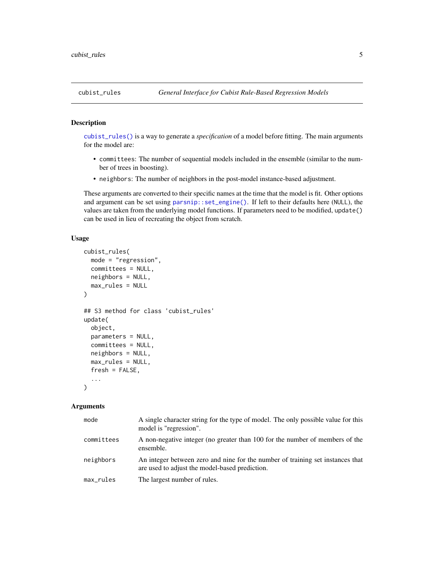#### <span id="page-4-1"></span><span id="page-4-0"></span>Description

[cubist\\_rules\(\)](#page-4-1) is a way to generate a *specification* of a model before fitting. The main arguments for the model are:

- committees: The number of sequential models included in the ensemble (similar to the number of trees in boosting).
- neighbors: The number of neighbors in the post-model instance-based adjustment.

These arguments are converted to their specific names at the time that the model is fit. Other options and argument can be set using [parsnip::set\\_engine\(\)](#page-0-0). If left to their defaults here (NULL), the values are taken from the underlying model functions. If parameters need to be modified, update() can be used in lieu of recreating the object from scratch.

#### Usage

```
cubist_rules(
 mode = "regression",
  committees = NULL,
 neighbors = NULL,
 max_rules = NULL
)
## S3 method for class 'cubist_rules'
update(
 object,
 parameters = NULL,
  committees = NULL,
 neighbors = NULL,
 max_rules = NULL,
  fresh = FALSE,...
)
```
#### **Arguments**

| mode       | A single character string for the type of model. The only possible value for this<br>model is "regression".                      |
|------------|----------------------------------------------------------------------------------------------------------------------------------|
| committees | A non-negative integer (no greater than 100 for the number of members of the<br>ensemble.                                        |
| neighbors  | An integer between zero and nine for the number of training set instances that<br>are used to adjust the model-based prediction. |
| max_rules  | The largest number of rules.                                                                                                     |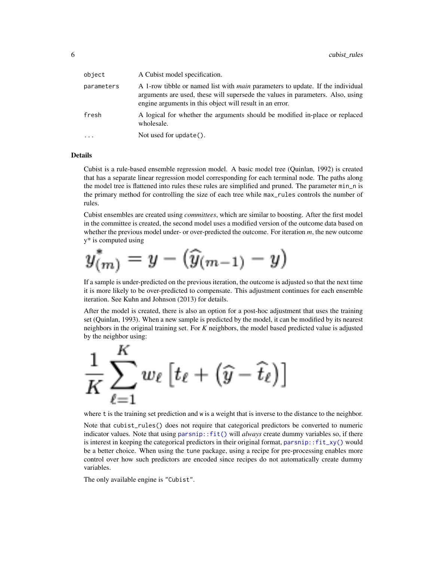<span id="page-5-0"></span>

| object     | A Cubist model specification.                                                                                                                                                                                                       |
|------------|-------------------------------------------------------------------------------------------------------------------------------------------------------------------------------------------------------------------------------------|
| parameters | A 1-row tibble or named list with <i>main</i> parameters to update. If the individual<br>arguments are used, these will supersede the values in parameters. Also, using<br>engine arguments in this object will result in an error. |
| fresh      | A logical for whether the arguments should be modified in-place or replaced<br>wholesale.                                                                                                                                           |
| .          | Not used for $update()$ .                                                                                                                                                                                                           |

#### Details

Cubist is a rule-based ensemble regression model. A basic model tree (Quinlan, 1992) is created that has a separate linear regression model corresponding for each terminal node. The paths along the model tree is flattened into rules these rules are simplified and pruned. The parameter min\_n is the primary method for controlling the size of each tree while max\_rules controls the number of rules.

Cubist ensembles are created using *committees*, which are similar to boosting. After the first model in the committee is created, the second model uses a modified version of the outcome data based on whether the previous model under- or over-predicted the outcome. For iteration *m*, the new outcome y\* is computed using

$$
y^*_{(m)}=y-(\widehat{y}_{(m-1)}-y)
$$

If a sample is under-predicted on the previous iteration, the outcome is adjusted so that the next time it is more likely to be over-predicted to compensate. This adjustment continues for each ensemble iteration. See Kuhn and Johnson (2013) for details.

After the model is created, there is also an option for a post-hoc adjustment that uses the training set (Quinlan, 1993). When a new sample is predicted by the model, it can be modified by its nearest neighbors in the original training set. For *K* neighbors, the model based predicted value is adjusted by the neighbor using:



where t is the training set prediction and w is a weight that is inverse to the distance to the neighbor.

Note that cubist\_rules() does not require that categorical predictors be converted to numeric indicator values. Note that using parsnip: : fit() will *always* create dummy variables so, if there is interest in keeping the categorical predictors in their original format, parsnip:: $fit\_xy()$  would be a better choice. When using the tune package, using a recipe for pre-processing enables more control over how such predictors are encoded since recipes do not automatically create dummy variables.

The only available engine is "Cubist".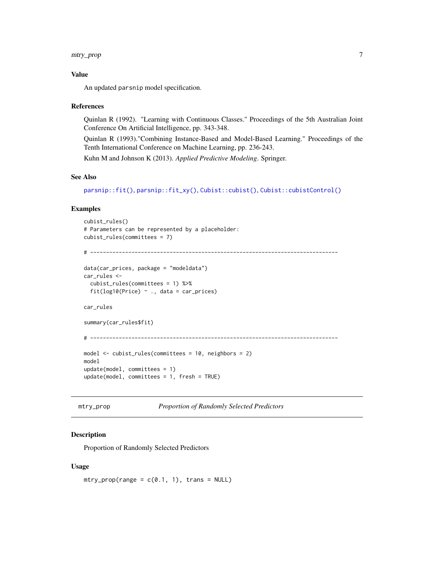#### <span id="page-6-0"></span>mtry\_prop 7

#### Value

An updated parsnip model specification.

#### References

Quinlan R (1992). "Learning with Continuous Classes." Proceedings of the 5th Australian Joint Conference On Artificial Intelligence, pp. 343-348.

Quinlan R (1993)."Combining Instance-Based and Model-Based Learning." Proceedings of the Tenth International Conference on Machine Learning, pp. 236-243.

Kuhn M and Johnson K (2013). *Applied Predictive Modeling*. Springer.

#### See Also

[parsnip::fit\(\)](#page-0-0), [parsnip::fit\\_xy\(\)](#page-0-0), [Cubist::cubist\(\)](#page-0-0), [Cubist::cubistControl\(\)](#page-0-0)

#### Examples

```
cubist_rules()
# Parameters can be represented by a placeholder:
cubist_rules(committees = 7)
# ------------------------------------------------------------------------------
data(car_prices, package = "modeldata")
car_rules <-
  cubist_rules(committees = 1) %>%
  fit(log10(Price) \sim ., data = car_prices)
car_rules
summary(car_rules$fit)
# ------------------------------------------------------------------------------
model <- cubist_rules(committees = 10, neighbors = 2)
model
update(model, committees = 1)
update(model, committees = 1, fresh = TRUE)
```

```
mtry_prop Proportion of Randomly Selected Predictors
```
#### Description

Proportion of Randomly Selected Predictors

#### Usage

 $mtry\_prop(range = c(0.1, 1), trans = NULL)$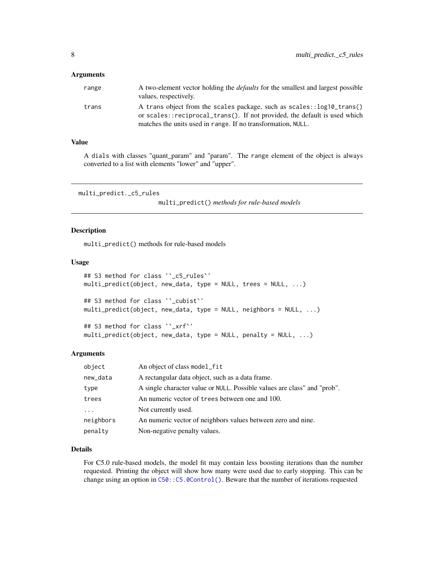#### <span id="page-7-0"></span>**Arguments**

| range | A two-element vector holding the <i>defaults</i> for the smallest and largest possible<br>values, respectively.                                    |
|-------|----------------------------------------------------------------------------------------------------------------------------------------------------|
| trans | A trans object from the scales package, such as scales::log10_trans()<br>or scales::reciprocal_trans(). If not provided, the default is used which |
|       | matches the units used in range. If no transformation, NULL.                                                                                       |

#### Value

A dials with classes "quant\_param" and "param". The range element of the object is always converted to a list with elements "lower" and "upper".

```
multi_predict._c5_rules
```

```
multi_predict() methods for rule-based models
```
#### Description

multi\_predict() methods for rule-based models

#### Usage

```
## S3 method for class '`_c5_rules`'
multi_predict(object, new_data, type = NULL, trees = NULL, ...)
## S3 method for class '`_cubist`'
multi_predict(object, new_data, type = NULL, neighbors = NULL, ...)
## S3 method for class '`_xrf`'
multi_predict(object, new_data, type = NULL, penalty = NULL, ...)
```
#### Arguments

| object    | An object of class model_fit                                             |
|-----------|--------------------------------------------------------------------------|
| new_data  | A rectangular data object, such as a data frame.                         |
| type      | A single character value or NULL. Possible values are class" and "prob". |
| trees     | An numeric vector of trees between one and 100.                          |
| $\cdot$   | Not currently used.                                                      |
| neighbors | An numeric vector of neighbors values between zero and nine.             |
| penalty   | Non-negative penalty values.                                             |

#### Details

For C5.0 rule-based models, the model fit may contain less boosting iterations than the number requested. Printing the object will show how many were used due to early stopping. This can be change using an option in [C50::C5.0Control\(\)](#page-0-0). Beware that the number of iterations requested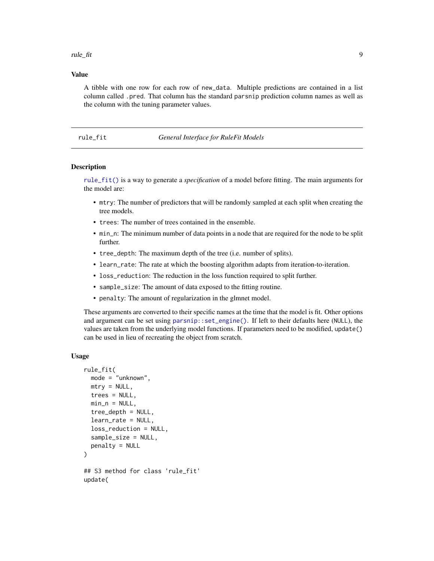<span id="page-8-0"></span>rule\_fit 9

#### Value

A tibble with one row for each row of new\_data. Multiple predictions are contained in a list column called .pred. That column has the standard parsnip prediction column names as well as the column with the tuning parameter values.

#### <span id="page-8-1"></span>rule\_fit *General Interface for RuleFit Models*

#### Description

[rule\\_fit\(\)](#page-8-1) is a way to generate a *specification* of a model before fitting. The main arguments for the model are:

- mtry: The number of predictors that will be randomly sampled at each split when creating the tree models.
- trees: The number of trees contained in the ensemble.
- min\_n: The minimum number of data points in a node that are required for the node to be split further.
- tree\_depth: The maximum depth of the tree (i.e. number of splits).
- learn\_rate: The rate at which the boosting algorithm adapts from iteration-to-iteration.
- loss\_reduction: The reduction in the loss function required to split further.
- sample\_size: The amount of data exposed to the fitting routine.
- penalty: The amount of regularization in the glmnet model.

These arguments are converted to their specific names at the time that the model is fit. Other options and argument can be set using [parsnip::set\\_engine\(\)](#page-0-0). If left to their defaults here (NULL), the values are taken from the underlying model functions. If parameters need to be modified, update() can be used in lieu of recreating the object from scratch.

#### Usage

```
rule_fit(
  mode = "unknown",
 mtry = NULL,trees = NULL,
  min_n = NULL,tree_depth = NULL,
  learn_rate = NULL,
  loss_reduction = NULL,
  sample_size = NULL,
  penalty = NULL
)
## S3 method for class 'rule_fit'
update(
```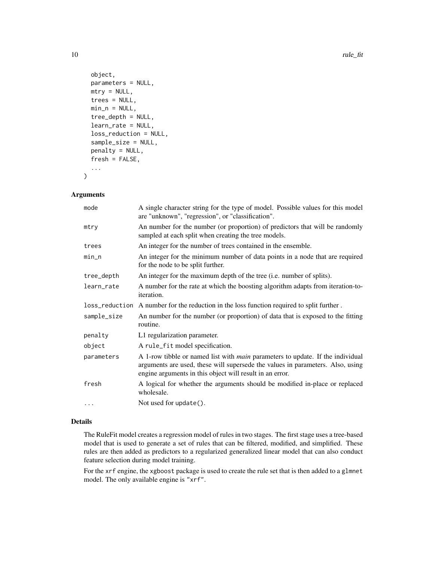```
object,
 parameters = NULL,
 mtry = NULL,trees = NULL,
 min_n = NULL,tree_depth = NULL,
  learn_rate = NULL,
  loss_reduction = NULL,
  sample_size = NULL,
 penalty = NULL,
  fresh = FALSE,
  ...
)
```
#### Arguments

| mode        | A single character string for the type of model. Possible values for this model<br>are "unknown", "regression", or "classification".                                                                                                |
|-------------|-------------------------------------------------------------------------------------------------------------------------------------------------------------------------------------------------------------------------------------|
| mtry        | An number for the number (or proportion) of predictors that will be randomly<br>sampled at each split when creating the tree models.                                                                                                |
| trees       | An integer for the number of trees contained in the ensemble.                                                                                                                                                                       |
| $min\_n$    | An integer for the minimum number of data points in a node that are required<br>for the node to be split further.                                                                                                                   |
| tree_depth  | An integer for the maximum depth of the tree (i.e. number of splits).                                                                                                                                                               |
| learn_rate  | A number for the rate at which the boosting algorithm adapts from iteration-to-<br><i>iteration.</i>                                                                                                                                |
|             | loss_reduction A number for the reduction in the loss function required to split further.                                                                                                                                           |
| sample_size | An number for the number (or proportion) of data that is exposed to the fitting<br>routine.                                                                                                                                         |
| penalty     | L1 regularization parameter.                                                                                                                                                                                                        |
| object      | A rule_fit model specification.                                                                                                                                                                                                     |
| parameters  | A 1-row tibble or named list with <i>main</i> parameters to update. If the individual<br>arguments are used, these will supersede the values in parameters. Also, using<br>engine arguments in this object will result in an error. |
| fresh       | A logical for whether the arguments should be modified in-place or replaced<br>wholesale.                                                                                                                                           |
| .           | Not used for update().                                                                                                                                                                                                              |

#### Details

The RuleFit model creates a regression model of rules in two stages. The first stage uses a tree-based model that is used to generate a set of rules that can be filtered, modified, and simplified. These rules are then added as predictors to a regularized generalized linear model that can also conduct feature selection during model training.

For the xrf engine, the xgboost package is used to create the rule set that is then added to a glmnet model. The only available engine is "xrf".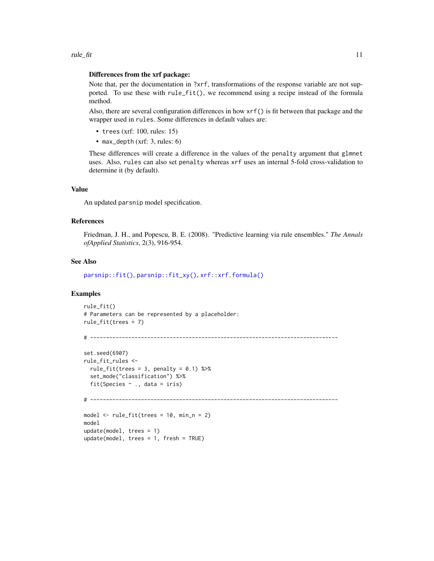#### <span id="page-10-0"></span>Differences from the xrf package:

Note that, per the documentation in ?xrf, transformations of the response variable are not supported. To use these with rule\_fit(), we recommend using a recipe instead of the formula method.

Also, there are several configuration differences in how xrf() is fit between that package and the wrapper used in rules. Some differences in default values are:

- trees (xrf: 100, rules: 15)
- max\_depth (xrf: 3, rules: 6)

These differences will create a difference in the values of the penalty argument that glmnet uses. Also, rules can also set penalty whereas xrf uses an internal 5-fold cross-validation to determine it (by default).

#### Value

An updated parsnip model specification.

#### References

Friedman, J. H., and Popescu, B. E. (2008). "Predictive learning via rule ensembles." *The Annals ofApplied Statistics*, 2(3), 916-954.

#### See Also

[parsnip::fit\(\)](#page-0-0), [parsnip::fit\\_xy\(\)](#page-0-0), [xrf::xrf.formula\(\)](#page-0-0)

#### Examples

```
rule_fit()
# Parameters can be represented by a placeholder:
rule_fit(trees = 7)
```

```
# ------------------------------------------------------------------------------
set.seed(6907)
rule_fit_rules <-
 rule_fit(trees = 3, penalty = 0.1) %>%
 set_mode("classification") %>%
 fit(Species \sim ., data = iris)
# ------------------------------------------------------------------------------
model \le- rule_fit(trees = 10, min_n = 2)
model
update(model, trees = 1)
update(model, trees = 1, fresh = TRUE)
```